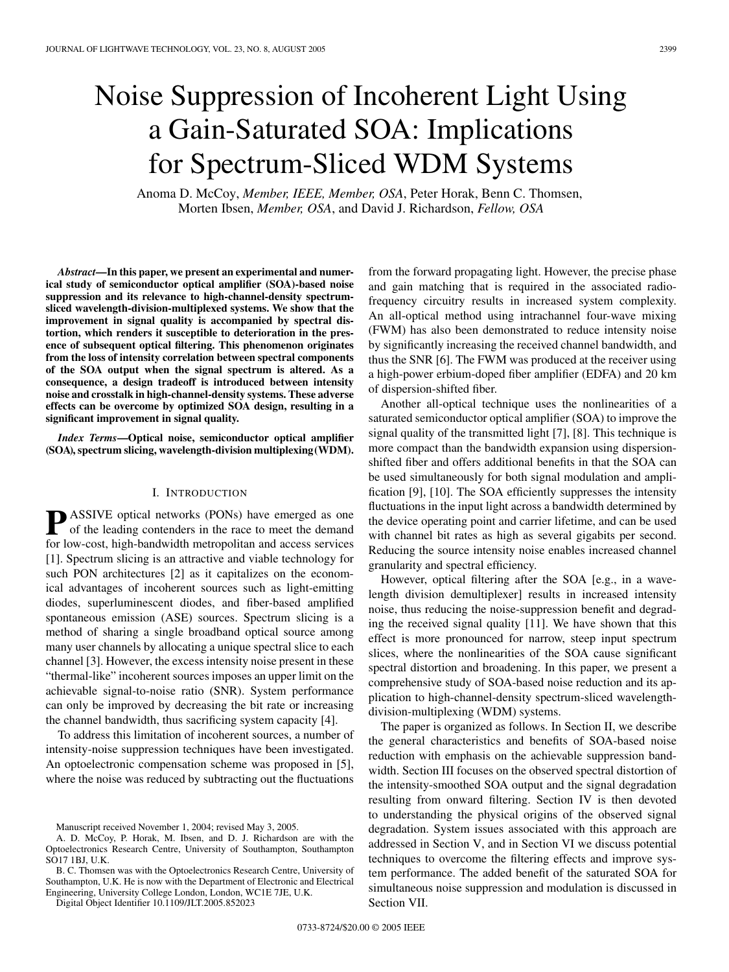# Noise Suppression of Incoherent Light Using a Gain-Saturated SOA: Implications for Spectrum-Sliced WDM Systems

Anoma D. McCoy, *Member, IEEE, Member, OSA*, Peter Horak, Benn C. Thomsen, Morten Ibsen, *Member, OSA*, and David J. Richardson, *Fellow, OSA*

*Abstract***—In this paper, we present an experimental and numerical study of semiconductor optical amplifier (SOA)-based noise suppression and its relevance to high-channel-density spectrumsliced wavelength-division-multiplexed systems. We show that the improvement in signal quality is accompanied by spectral distortion, which renders it susceptible to deterioration in the presence of subsequent optical filtering. This phenomenon originates from the loss of intensity correlation between spectral components of the SOA output when the signal spectrum is altered. As a consequence, a design tradeoff is introduced between intensity noise and crosstalk in high-channel-density systems. These adverse effects can be overcome by optimized SOA design, resulting in a significant improvement in signal quality.**

*Index Terms***—Optical noise, semiconductor optical amplifier (SOA), spectrum slicing, wavelength-division multiplexing(WDM).**

## I. INTRODUCTION

**P** ASSIVE optical networks (PONs) have emerged as one of the leading contenders in the race to meet the demand for low-cost, high-bandwidth metropolitan and access services [1]. Spectrum slicing is an attractive and viable technology for such PON architectures [2] as it capitalizes on the economical advantages of incoherent sources such as light-emitting diodes, superluminescent diodes, and fiber-based amplified spontaneous emission (ASE) sources. Spectrum slicing is a method of sharing a single broadband optical source among many user channels by allocating a unique spectral slice to each channel [3]. However, the excess intensity noise present in these "thermal-like" incoherent sources imposes an upper limit on the achievable signal-to-noise ratio (SNR). System performance can only be improved by decreasing the bit rate or increasing the channel bandwidth, thus sacrificing system capacity [4].

To address this limitation of incoherent sources, a number of intensity-noise suppression techniques have been investigated. An optoelectronic compensation scheme was proposed in [5], where the noise was reduced by subtracting out the fluctuations

B. C. Thomsen was with the Optoelectronics Research Centre, University of Southampton, U.K. He is now with the Department of Electronic and Electrical Engineering, University College London, London, WC1E 7JE, U.K.

Digital Object Identifier 10.1109/JLT.2005.852023

from the forward propagating light. However, the precise phase and gain matching that is required in the associated radiofrequency circuitry results in increased system complexity. An all-optical method using intrachannel four-wave mixing (FWM) has also been demonstrated to reduce intensity noise by significantly increasing the received channel bandwidth, and thus the SNR [6]. The FWM was produced at the receiver using a high-power erbium-doped fiber amplifier (EDFA) and 20 km of dispersion-shifted fiber.

Another all-optical technique uses the nonlinearities of a saturated semiconductor optical amplifier (SOA) to improve the signal quality of the transmitted light [7], [8]. This technique is more compact than the bandwidth expansion using dispersionshifted fiber and offers additional benefits in that the SOA can be used simultaneously for both signal modulation and amplification [9], [10]. The SOA efficiently suppresses the intensity fluctuations in the input light across a bandwidth determined by the device operating point and carrier lifetime, and can be used with channel bit rates as high as several gigabits per second. Reducing the source intensity noise enables increased channel granularity and spectral efficiency.

However, optical filtering after the SOA [e.g., in a wavelength division demultiplexer] results in increased intensity noise, thus reducing the noise-suppression benefit and degrading the received signal quality [11]. We have shown that this effect is more pronounced for narrow, steep input spectrum slices, where the nonlinearities of the SOA cause significant spectral distortion and broadening. In this paper, we present a comprehensive study of SOA-based noise reduction and its application to high-channel-density spectrum-sliced wavelengthdivision-multiplexing (WDM) systems.

The paper is organized as follows. In Section II, we describe the general characteristics and benefits of SOA-based noise reduction with emphasis on the achievable suppression bandwidth. Section III focuses on the observed spectral distortion of the intensity-smoothed SOA output and the signal degradation resulting from onward filtering. Section IV is then devoted to understanding the physical origins of the observed signal degradation. System issues associated with this approach are addressed in Section V, and in Section VI we discuss potential techniques to overcome the filtering effects and improve system performance. The added benefit of the saturated SOA for simultaneous noise suppression and modulation is discussed in Section VII.

Manuscript received November 1, 2004; revised May 3, 2005.

A. D. McCoy, P. Horak, M. Ibsen, and D. J. Richardson are with the Optoelectronics Research Centre, University of Southampton, Southampton SO17 1BJ, U.K.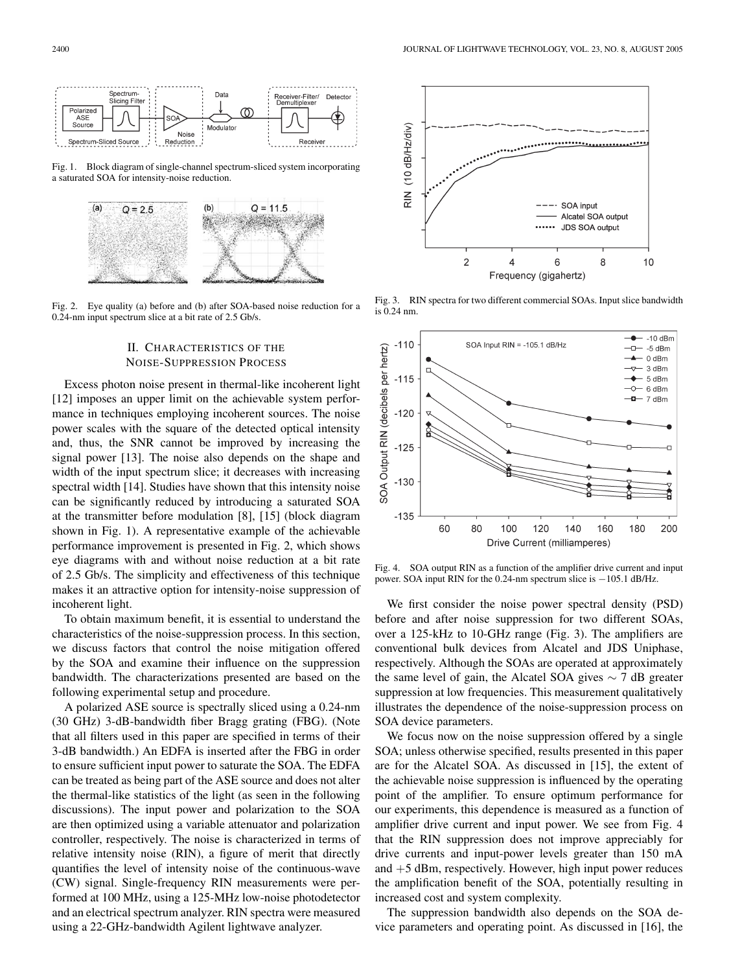

Fig. 1. Block diagram of single-channel spectrum-sliced system incorporating a saturated SOA for intensity-noise reduction.



Fig. 2. Eye quality (a) before and (b) after SOA-based noise reduction for a 0.24-nm input spectrum slice at a bit rate of 2.5 Gb/s.

# II. CHARACTERISTICS OF THE NOISE-SUPPRESSION PROCESS

Excess photon noise present in thermal-like incoherent light [12] imposes an upper limit on the achievable system performance in techniques employing incoherent sources. The noise power scales with the square of the detected optical intensity and, thus, the SNR cannot be improved by increasing the signal power [13]. The noise also depends on the shape and width of the input spectrum slice; it decreases with increasing spectral width [14]. Studies have shown that this intensity noise can be significantly reduced by introducing a saturated SOA at the transmitter before modulation [8], [15] (block diagram shown in Fig. 1). A representative example of the achievable performance improvement is presented in Fig. 2, which shows eye diagrams with and without noise reduction at a bit rate of 2.5 Gb/s. The simplicity and effectiveness of this technique makes it an attractive option for intensity-noise suppression of incoherent light.

To obtain maximum benefit, it is essential to understand the characteristics of the noise-suppression process. In this section, we discuss factors that control the noise mitigation offered by the SOA and examine their influence on the suppression bandwidth. The characterizations presented are based on the following experimental setup and procedure.

A polarized ASE source is spectrally sliced using a 0.24-nm (30 GHz) 3-dB-bandwidth fiber Bragg grating (FBG). (Note that all filters used in this paper are specified in terms of their 3-dB bandwidth.) An EDFA is inserted after the FBG in order to ensure sufficient input power to saturate the SOA. The EDFA can be treated as being part of the ASE source and does not alter the thermal-like statistics of the light (as seen in the following discussions). The input power and polarization to the SOA are then optimized using a variable attenuator and polarization controller, respectively. The noise is characterized in terms of relative intensity noise (RIN), a figure of merit that directly quantifies the level of intensity noise of the continuous-wave (CW) signal. Single-frequency RIN measurements were performed at 100 MHz, using a 125-MHz low-noise photodetector and an electrical spectrum analyzer. RIN spectra were measured using a 22-GHz-bandwidth Agilent lightwave analyzer.



Fig. 3. RIN spectra for two different commercial SOAs. Input slice bandwidth is 0.24 nm.



Fig. 4. SOA output RIN as a function of the amplifier drive current and input power. SOA input RIN for the 0.24-nm spectrum slice is −105.1 dB/Hz.

We first consider the noise power spectral density (PSD) before and after noise suppression for two different SOAs, over a 125-kHz to 10-GHz range (Fig. 3). The amplifiers are conventional bulk devices from Alcatel and JDS Uniphase, respectively. Although the SOAs are operated at approximately the same level of gain, the Alcatel SOA gives  $\sim$  7 dB greater suppression at low frequencies. This measurement qualitatively illustrates the dependence of the noise-suppression process on SOA device parameters.

We focus now on the noise suppression offered by a single SOA; unless otherwise specified, results presented in this paper are for the Alcatel SOA. As discussed in [15], the extent of the achievable noise suppression is influenced by the operating point of the amplifier. To ensure optimum performance for our experiments, this dependence is measured as a function of amplifier drive current and input power. We see from Fig. 4 that the RIN suppression does not improve appreciably for drive currents and input-power levels greater than 150 mA and  $+5$  dBm, respectively. However, high input power reduces the amplification benefit of the SOA, potentially resulting in increased cost and system complexity.

The suppression bandwidth also depends on the SOA device parameters and operating point. As discussed in [16], the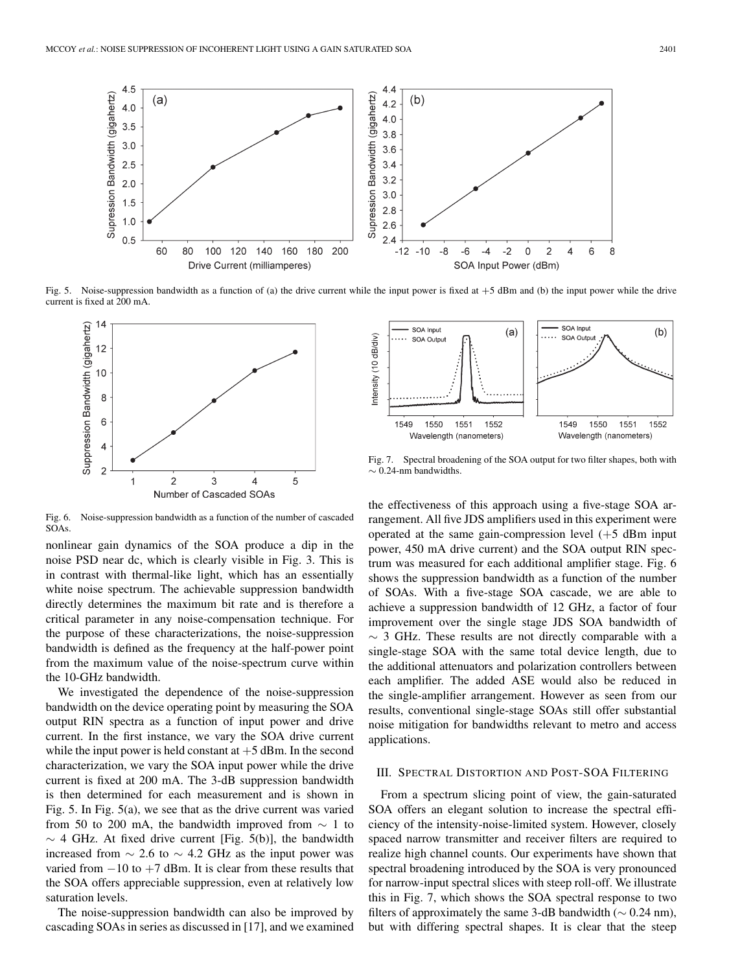

Fig. 5. Noise-suppression bandwidth as a function of (a) the drive current while the input power is fixed at +5 dBm and (b) the input power while the drive current is fixed at 200 mA.



Fig. 6. Noise-suppression bandwidth as a function of the number of cascaded SOAs.

nonlinear gain dynamics of the SOA produce a dip in the noise PSD near dc, which is clearly visible in Fig. 3. This is in contrast with thermal-like light, which has an essentially white noise spectrum. The achievable suppression bandwidth directly determines the maximum bit rate and is therefore a critical parameter in any noise-compensation technique. For the purpose of these characterizations, the noise-suppression bandwidth is defined as the frequency at the half-power point from the maximum value of the noise-spectrum curve within the 10-GHz bandwidth.

We investigated the dependence of the noise-suppression bandwidth on the device operating point by measuring the SOA output RIN spectra as a function of input power and drive current. In the first instance, we vary the SOA drive current while the input power is held constant at  $+5$  dBm. In the second characterization, we vary the SOA input power while the drive current is fixed at 200 mA. The 3-dB suppression bandwidth is then determined for each measurement and is shown in Fig. 5. In Fig. 5(a), we see that as the drive current was varied from 50 to 200 mA, the bandwidth improved from  $\sim 1$  to  $\sim$  4 GHz. At fixed drive current [Fig. 5(b)], the bandwidth increased from ∼ 2.6 to ∼ 4.2 GHz as the input power was varied from  $-10$  to  $+7$  dBm. It is clear from these results that the SOA offers appreciable suppression, even at relatively low saturation levels.

The noise-suppression bandwidth can also be improved by cascading SOAs in series as discussed in [17], and we examined



Fig. 7. Spectral broadening of the SOA output for two filter shapes, both with  $\sim$  0.24-nm bandwidths.

the effectiveness of this approach using a five-stage SOA arrangement. All five JDS amplifiers used in this experiment were operated at the same gain-compression level  $(+5$  dBm input power, 450 mA drive current) and the SOA output RIN spectrum was measured for each additional amplifier stage. Fig. 6 shows the suppression bandwidth as a function of the number of SOAs. With a five-stage SOA cascade, we are able to achieve a suppression bandwidth of 12 GHz, a factor of four improvement over the single stage JDS SOA bandwidth of  $\sim$  3 GHz. These results are not directly comparable with a single-stage SOA with the same total device length, due to the additional attenuators and polarization controllers between each amplifier. The added ASE would also be reduced in the single-amplifier arrangement. However as seen from our results, conventional single-stage SOAs still offer substantial noise mitigation for bandwidths relevant to metro and access applications.

#### III. SPECTRAL DISTORTION AND POST-SOA FILTERING

From a spectrum slicing point of view, the gain-saturated SOA offers an elegant solution to increase the spectral efficiency of the intensity-noise-limited system. However, closely spaced narrow transmitter and receiver filters are required to realize high channel counts. Our experiments have shown that spectral broadening introduced by the SOA is very pronounced for narrow-input spectral slices with steep roll-off. We illustrate this in Fig. 7, which shows the SOA spectral response to two filters of approximately the same 3-dB bandwidth ( $\sim$  0.24 nm), but with differing spectral shapes. It is clear that the steep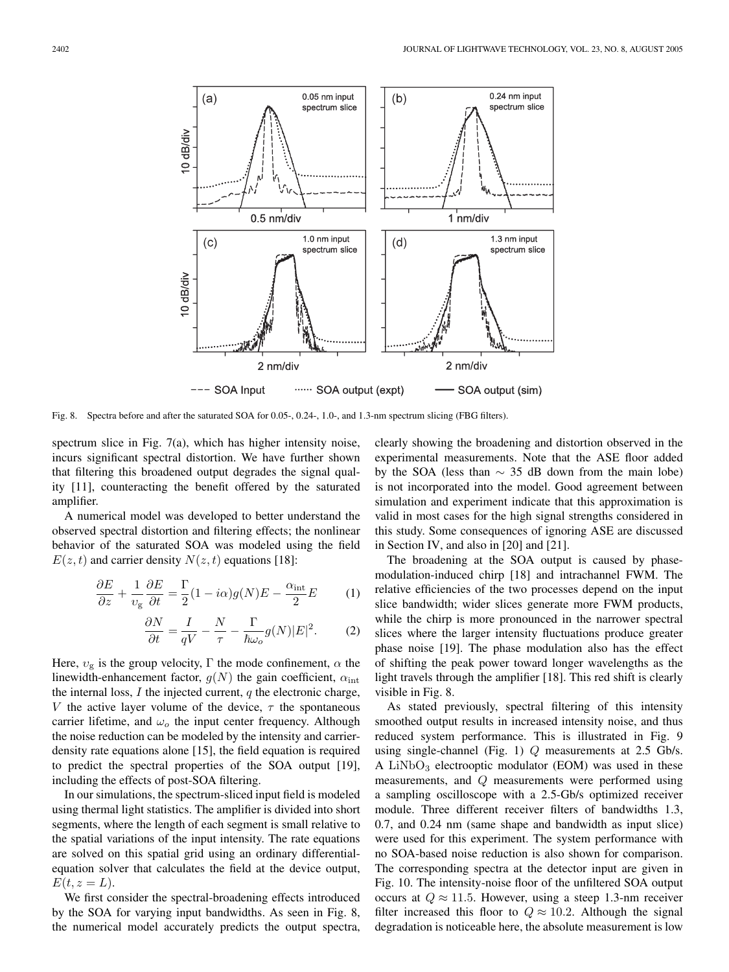

Fig. 8. Spectra before and after the saturated SOA for 0.05-, 0.24-, 1.0-, and 1.3-nm spectrum slicing (FBG filters).

spectrum slice in Fig. 7(a), which has higher intensity noise, incurs significant spectral distortion. We have further shown that filtering this broadened output degrades the signal quality [11], counteracting the benefit offered by the saturated amplifier.

A numerical model was developed to better understand the observed spectral distortion and filtering effects; the nonlinear behavior of the saturated SOA was modeled using the field  $E(z, t)$  and carrier density  $N(z, t)$  equations [18]:

$$
\frac{\partial E}{\partial z} + \frac{1}{v_g} \frac{\partial E}{\partial t} = \frac{\Gamma}{2} (1 - i\alpha) g(N) E - \frac{\alpha_{\text{int}}}{2} E \tag{1}
$$

$$
\frac{\partial N}{\partial t} = \frac{I}{qV} - \frac{N}{\tau} - \frac{\Gamma}{\hbar \omega_o} g(N) |E|^2.
$$
 (2)

Here,  $v_{\rm g}$  is the group velocity,  $\Gamma$  the mode confinement,  $\alpha$  the linewidth-enhancement factor,  $g(N)$  the gain coefficient,  $\alpha_{\text{int}}$ the internal loss,  $I$  the injected current,  $q$  the electronic charge, V the active layer volume of the device,  $\tau$  the spontaneous carrier lifetime, and  $\omega_o$  the input center frequency. Although the noise reduction can be modeled by the intensity and carrierdensity rate equations alone [15], the field equation is required to predict the spectral properties of the SOA output [19], including the effects of post-SOA filtering.

In our simulations, the spectrum-sliced input field is modeled using thermal light statistics. The amplifier is divided into short segments, where the length of each segment is small relative to the spatial variations of the input intensity. The rate equations are solved on this spatial grid using an ordinary differentialequation solver that calculates the field at the device output,  $E(t, z = L).$ 

We first consider the spectral-broadening effects introduced by the SOA for varying input bandwidths. As seen in Fig. 8, the numerical model accurately predicts the output spectra, clearly showing the broadening and distortion observed in the experimental measurements. Note that the ASE floor added by the SOA (less than  $\sim$  35 dB down from the main lobe) is not incorporated into the model. Good agreement between simulation and experiment indicate that this approximation is valid in most cases for the high signal strengths considered in this study. Some consequences of ignoring ASE are discussed in Section IV, and also in [20] and [21].

The broadening at the SOA output is caused by phasemodulation-induced chirp [18] and intrachannel FWM. The relative efficiencies of the two processes depend on the input slice bandwidth; wider slices generate more FWM products, while the chirp is more pronounced in the narrower spectral slices where the larger intensity fluctuations produce greater phase noise [19]. The phase modulation also has the effect of shifting the peak power toward longer wavelengths as the light travels through the amplifier [18]. This red shift is clearly visible in Fig. 8.

As stated previously, spectral filtering of this intensity smoothed output results in increased intensity noise, and thus reduced system performance. This is illustrated in Fig. 9 using single-channel (Fig. 1) Q measurements at 2.5 Gb/s. A  $LiNbO<sub>3</sub>$  electrooptic modulator (EOM) was used in these measurements, and Q measurements were performed using a sampling oscilloscope with a 2.5-Gb/s optimized receiver module. Three different receiver filters of bandwidths 1.3, 0.7, and 0.24 nm (same shape and bandwidth as input slice) were used for this experiment. The system performance with no SOA-based noise reduction is also shown for comparison. The corresponding spectra at the detector input are given in Fig. 10. The intensity-noise floor of the unfiltered SOA output occurs at  $Q \approx 11.5$ . However, using a steep 1.3-nm receiver filter increased this floor to  $Q \approx 10.2$ . Although the signal degradation is noticeable here, the absolute measurement is low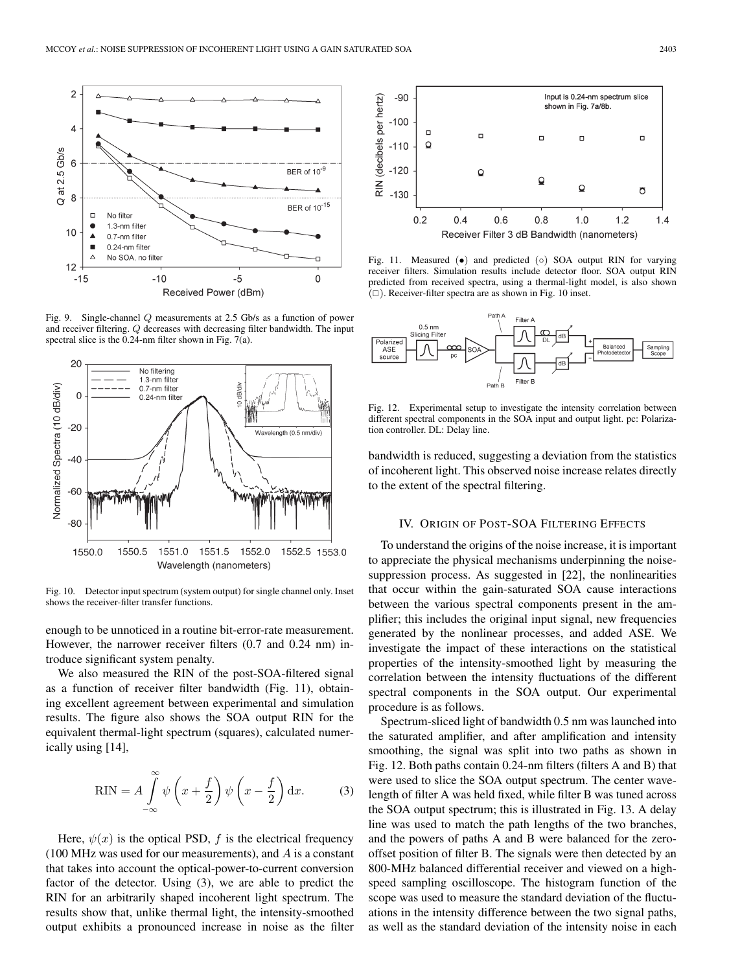

Fig. 9. Single-channel Q measurements at 2.5 Gb/s as a function of power and receiver filtering. Q decreases with decreasing filter bandwidth. The input spectral slice is the 0.24-nm filter shown in Fig. 7(a).



Fig. 10. Detector input spectrum (system output) for single channel only. Inset shows the receiver-filter transfer functions.

enough to be unnoticed in a routine bit-error-rate measurement. However, the narrower receiver filters (0.7 and 0.24 nm) introduce significant system penalty.

We also measured the RIN of the post-SOA-filtered signal as a function of receiver filter bandwidth (Fig. 11), obtaining excellent agreement between experimental and simulation results. The figure also shows the SOA output RIN for the equivalent thermal-light spectrum (squares), calculated numerically using [14],

$$
RIN = A \int_{-\infty}^{\infty} \psi \left( x + \frac{f}{2} \right) \psi \left( x - \frac{f}{2} \right) dx.
$$
 (3)

Here,  $\psi(x)$  is the optical PSD, f is the electrical frequency  $(100 \text{ MHz was used for our measurements}),$  and A is a constant that takes into account the optical-power-to-current conversion factor of the detector. Using (3), we are able to predict the RIN for an arbitrarily shaped incoherent light spectrum. The results show that, unlike thermal light, the intensity-smoothed output exhibits a pronounced increase in noise as the filter



Fig. 11. Measured  $(•)$  and predicted  $(○)$  SOA output RIN for varying receiver filters. Simulation results include detector floor. SOA output RIN predicted from received spectra, using a thermal-light model, is also shown  $(\Box)$ . Receiver-filter spectra are as shown in Fig. 10 inset.



Fig. 12. Experimental setup to investigate the intensity correlation between different spectral components in the SOA input and output light. pc: Polarization controller. DL: Delay line.

bandwidth is reduced, suggesting a deviation from the statistics of incoherent light. This observed noise increase relates directly to the extent of the spectral filtering.

## IV. ORIGIN OF POST-SOA FILTERING EFFECTS

To understand the origins of the noise increase, it is important to appreciate the physical mechanisms underpinning the noisesuppression process. As suggested in [22], the nonlinearities that occur within the gain-saturated SOA cause interactions between the various spectral components present in the amplifier; this includes the original input signal, new frequencies generated by the nonlinear processes, and added ASE. We investigate the impact of these interactions on the statistical properties of the intensity-smoothed light by measuring the correlation between the intensity fluctuations of the different spectral components in the SOA output. Our experimental procedure is as follows.

Spectrum-sliced light of bandwidth 0.5 nm was launched into the saturated amplifier, and after amplification and intensity smoothing, the signal was split into two paths as shown in Fig. 12. Both paths contain 0.24-nm filters (filters A and B) that were used to slice the SOA output spectrum. The center wavelength of filter A was held fixed, while filter B was tuned across the SOA output spectrum; this is illustrated in Fig. 13. A delay line was used to match the path lengths of the two branches, and the powers of paths A and B were balanced for the zerooffset position of filter B. The signals were then detected by an 800-MHz balanced differential receiver and viewed on a highspeed sampling oscilloscope. The histogram function of the scope was used to measure the standard deviation of the fluctuations in the intensity difference between the two signal paths, as well as the standard deviation of the intensity noise in each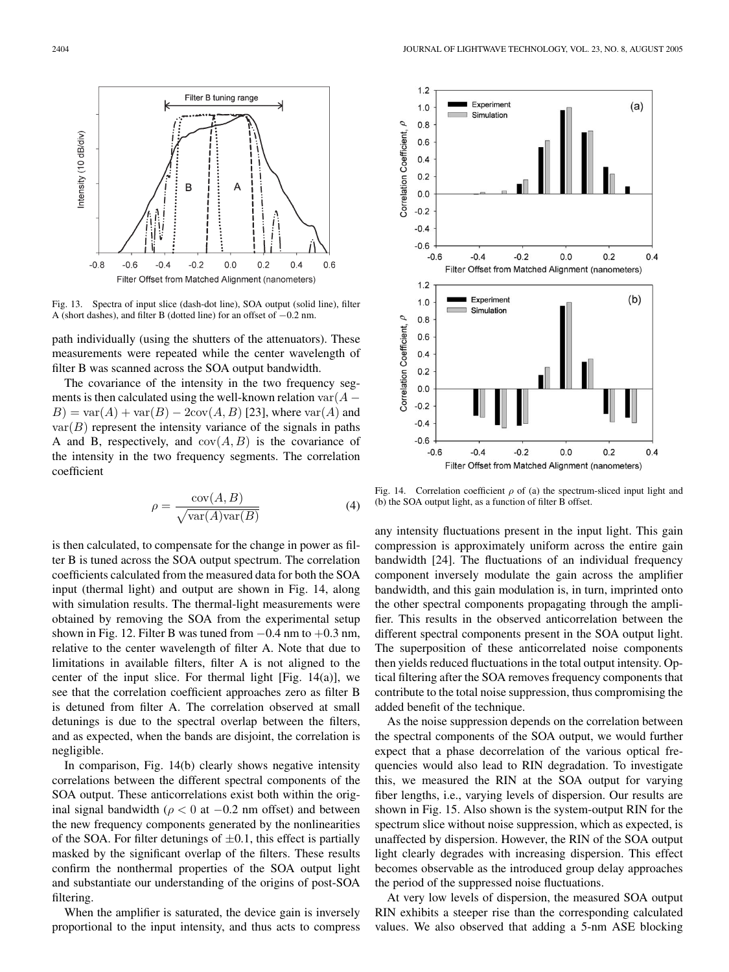

Fig. 13. Spectra of input slice (dash-dot line), SOA output (solid line), filter A (short dashes), and filter B (dotted line) for an offset of −0.2 nm.

path individually (using the shutters of the attenuators). These measurements were repeated while the center wavelength of filter B was scanned across the SOA output bandwidth.

The covariance of the intensity in the two frequency segments is then calculated using the well-known relation var $(A B$ ) = var $(A)$  + var $(B)$  – 2cov $(A, B)$  [23], where var $(A)$  and  $var(B)$  represent the intensity variance of the signals in paths A and B, respectively, and  $cov(A, B)$  is the covariance of the intensity in the two frequency segments. The correlation coefficient

$$
\rho = \frac{\text{cov}(A, B)}{\sqrt{\text{var}(A)\text{var}(B)}}\tag{4}
$$

is then calculated, to compensate for the change in power as filter B is tuned across the SOA output spectrum. The correlation coefficients calculated from the measured data for both the SOA input (thermal light) and output are shown in Fig. 14, along with simulation results. The thermal-light measurements were obtained by removing the SOA from the experimental setup shown in Fig. 12. Filter B was tuned from  $-0.4$  nm to  $+0.3$  nm, relative to the center wavelength of filter A. Note that due to limitations in available filters, filter A is not aligned to the center of the input slice. For thermal light [Fig.  $14(a)$ ], we see that the correlation coefficient approaches zero as filter B is detuned from filter A. The correlation observed at small detunings is due to the spectral overlap between the filters, and as expected, when the bands are disjoint, the correlation is negligible.

In comparison, Fig. 14(b) clearly shows negative intensity correlations between the different spectral components of the SOA output. These anticorrelations exist both within the original signal bandwidth ( $\rho < 0$  at  $-0.2$  nm offset) and between the new frequency components generated by the nonlinearities of the SOA. For filter detunings of  $\pm 0.1$ , this effect is partially masked by the significant overlap of the filters. These results confirm the nonthermal properties of the SOA output light and substantiate our understanding of the origins of post-SOA filtering.

When the amplifier is saturated, the device gain is inversely proportional to the input intensity, and thus acts to compress



Fig. 14. Correlation coefficient  $\rho$  of (a) the spectrum-sliced input light and (b) the SOA output light, as a function of filter B offset.

any intensity fluctuations present in the input light. This gain compression is approximately uniform across the entire gain bandwidth [24]. The fluctuations of an individual frequency component inversely modulate the gain across the amplifier bandwidth, and this gain modulation is, in turn, imprinted onto the other spectral components propagating through the amplifier. This results in the observed anticorrelation between the different spectral components present in the SOA output light. The superposition of these anticorrelated noise components then yields reduced fluctuations in the total output intensity. Optical filtering after the SOA removes frequency components that contribute to the total noise suppression, thus compromising the added benefit of the technique.

As the noise suppression depends on the correlation between the spectral components of the SOA output, we would further expect that a phase decorrelation of the various optical frequencies would also lead to RIN degradation. To investigate this, we measured the RIN at the SOA output for varying fiber lengths, i.e., varying levels of dispersion. Our results are shown in Fig. 15. Also shown is the system-output RIN for the spectrum slice without noise suppression, which as expected, is unaffected by dispersion. However, the RIN of the SOA output light clearly degrades with increasing dispersion. This effect becomes observable as the introduced group delay approaches the period of the suppressed noise fluctuations.

At very low levels of dispersion, the measured SOA output RIN exhibits a steeper rise than the corresponding calculated values. We also observed that adding a 5-nm ASE blocking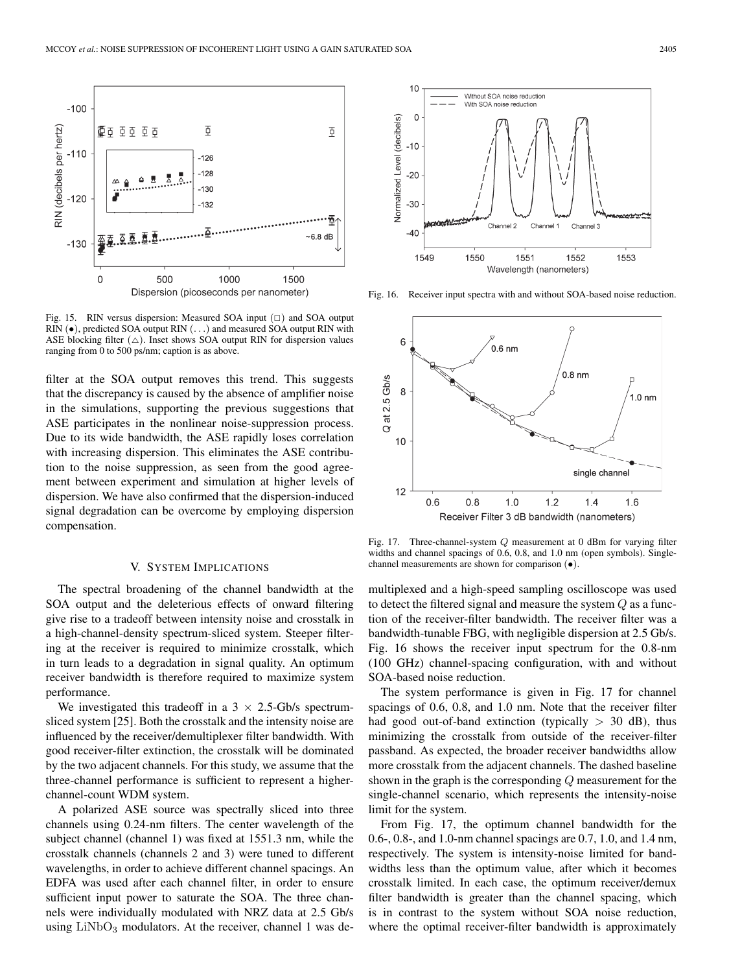

Fig. 15. RIN versus dispersion: Measured SOA input  $(\square)$  and SOA output RIN ( $\bullet$ ), predicted SOA output RIN (...) and measured SOA output RIN with ASE blocking filter  $(\triangle)$ . Inset shows SOA output RIN for dispersion values ranging from 0 to 500 ps/nm; caption is as above.

filter at the SOA output removes this trend. This suggests that the discrepancy is caused by the absence of amplifier noise in the simulations, supporting the previous suggestions that ASE participates in the nonlinear noise-suppression process. Due to its wide bandwidth, the ASE rapidly loses correlation with increasing dispersion. This eliminates the ASE contribution to the noise suppression, as seen from the good agreement between experiment and simulation at higher levels of dispersion. We have also confirmed that the dispersion-induced signal degradation can be overcome by employing dispersion compensation.

## V. SYSTEM IMPLICATIONS

The spectral broadening of the channel bandwidth at the SOA output and the deleterious effects of onward filtering give rise to a tradeoff between intensity noise and crosstalk in a high-channel-density spectrum-sliced system. Steeper filtering at the receiver is required to minimize crosstalk, which in turn leads to a degradation in signal quality. An optimum receiver bandwidth is therefore required to maximize system performance.

We investigated this tradeoff in a  $3 \times 2.5$ -Gb/s spectrumsliced system [25]. Both the crosstalk and the intensity noise are influenced by the receiver/demultiplexer filter bandwidth. With good receiver-filter extinction, the crosstalk will be dominated by the two adjacent channels. For this study, we assume that the three-channel performance is sufficient to represent a higherchannel-count WDM system.

A polarized ASE source was spectrally sliced into three channels using 0.24-nm filters. The center wavelength of the subject channel (channel 1) was fixed at 1551.3 nm, while the crosstalk channels (channels 2 and 3) were tuned to different wavelengths, in order to achieve different channel spacings. An EDFA was used after each channel filter, in order to ensure sufficient input power to saturate the SOA. The three channels were individually modulated with NRZ data at 2.5 Gb/s using  $LiNbO<sub>3</sub>$  modulators. At the receiver, channel 1 was de-



Fig. 16. Receiver input spectra with and without SOA-based noise reduction.



Fig. 17. Three-channel-system Q measurement at 0 dBm for varying filter widths and channel spacings of 0.6, 0.8, and 1.0 nm (open symbols). Singlechannel measurements are shown for comparison (•).

multiplexed and a high-speed sampling oscilloscope was used to detect the filtered signal and measure the system Q as a function of the receiver-filter bandwidth. The receiver filter was a bandwidth-tunable FBG, with negligible dispersion at 2.5 Gb/s. Fig. 16 shows the receiver input spectrum for the 0.8-nm (100 GHz) channel-spacing configuration, with and without SOA-based noise reduction.

The system performance is given in Fig. 17 for channel spacings of 0.6, 0.8, and 1.0 nm. Note that the receiver filter had good out-of-band extinction (typically  $> 30$  dB), thus minimizing the crosstalk from outside of the receiver-filter passband. As expected, the broader receiver bandwidths allow more crosstalk from the adjacent channels. The dashed baseline shown in the graph is the corresponding Q measurement for the single-channel scenario, which represents the intensity-noise limit for the system.

From Fig. 17, the optimum channel bandwidth for the 0.6-, 0.8-, and 1.0-nm channel spacings are 0.7, 1.0, and 1.4 nm, respectively. The system is intensity-noise limited for bandwidths less than the optimum value, after which it becomes crosstalk limited. In each case, the optimum receiver/demux filter bandwidth is greater than the channel spacing, which is in contrast to the system without SOA noise reduction, where the optimal receiver-filter bandwidth is approximately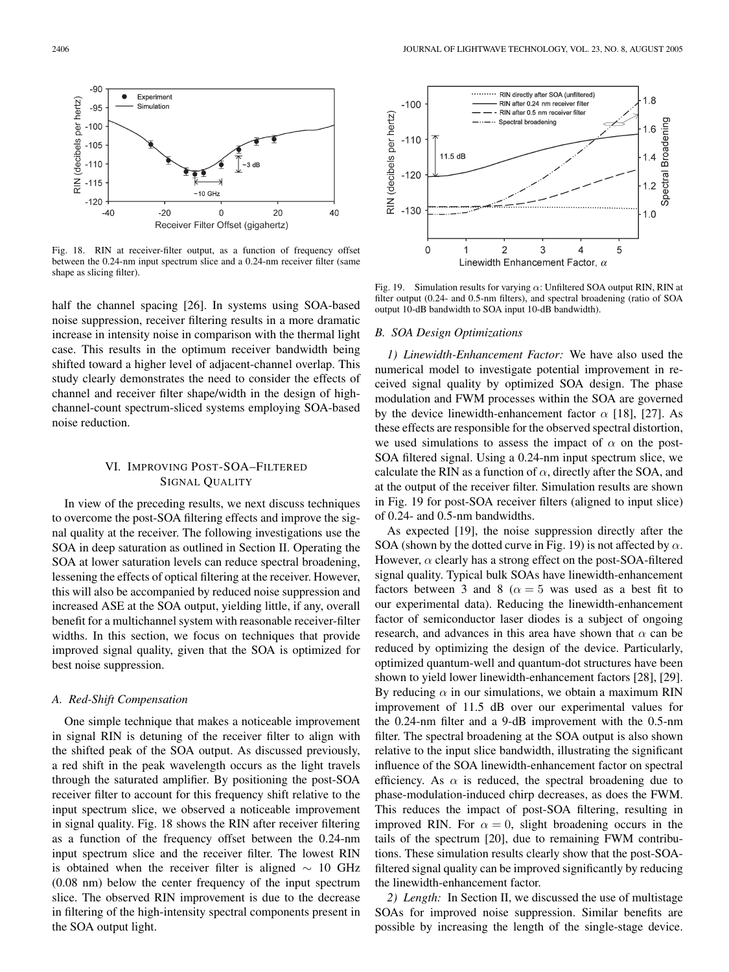

Fig. 18. RIN at receiver-filter output, as a function of frequency offset between the 0.24-nm input spectrum slice and a 0.24-nm receiver filter (same shape as slicing filter).

half the channel spacing [26]. In systems using SOA-based noise suppression, receiver filtering results in a more dramatic increase in intensity noise in comparison with the thermal light case. This results in the optimum receiver bandwidth being shifted toward a higher level of adjacent-channel overlap. This study clearly demonstrates the need to consider the effects of channel and receiver filter shape/width in the design of highchannel-count spectrum-sliced systems employing SOA-based noise reduction.

## VI. IMPROVING POST-SOA–FILTERED SIGNAL QUALITY

In view of the preceding results, we next discuss techniques to overcome the post-SOA filtering effects and improve the signal quality at the receiver. The following investigations use the SOA in deep saturation as outlined in Section II. Operating the SOA at lower saturation levels can reduce spectral broadening, lessening the effects of optical filtering at the receiver. However, this will also be accompanied by reduced noise suppression and increased ASE at the SOA output, yielding little, if any, overall benefit for a multichannel system with reasonable receiver-filter widths. In this section, we focus on techniques that provide improved signal quality, given that the SOA is optimized for best noise suppression.

## *A. Red-Shift Compensation*

One simple technique that makes a noticeable improvement in signal RIN is detuning of the receiver filter to align with the shifted peak of the SOA output. As discussed previously, a red shift in the peak wavelength occurs as the light travels through the saturated amplifier. By positioning the post-SOA receiver filter to account for this frequency shift relative to the input spectrum slice, we observed a noticeable improvement in signal quality. Fig. 18 shows the RIN after receiver filtering as a function of the frequency offset between the 0.24-nm input spectrum slice and the receiver filter. The lowest RIN is obtained when the receiver filter is aligned  $\sim 10$  GHz (0.08 nm) below the center frequency of the input spectrum slice. The observed RIN improvement is due to the decrease in filtering of the high-intensity spectral components present in the SOA output light.



Fig. 19. Simulation results for varying  $\alpha$ : Unfiltered SOA output RIN, RIN at filter output (0.24- and 0.5-nm filters), and spectral broadening (ratio of SOA output 10-dB bandwidth to SOA input 10-dB bandwidth).

#### *B. SOA Design Optimizations*

*1) Linewidth-Enhancement Factor:* We have also used the numerical model to investigate potential improvement in received signal quality by optimized SOA design. The phase modulation and FWM processes within the SOA are governed by the device linewidth-enhancement factor  $\alpha$  [18], [27]. As these effects are responsible for the observed spectral distortion, we used simulations to assess the impact of  $\alpha$  on the post-SOA filtered signal. Using a 0.24-nm input spectrum slice, we calculate the RIN as a function of  $\alpha$ , directly after the SOA, and at the output of the receiver filter. Simulation results are shown in Fig. 19 for post-SOA receiver filters (aligned to input slice) of 0.24- and 0.5-nm bandwidths.

As expected [19], the noise suppression directly after the SOA (shown by the dotted curve in Fig. 19) is not affected by  $\alpha$ . However,  $\alpha$  clearly has a strong effect on the post-SOA-filtered signal quality. Typical bulk SOAs have linewidth-enhancement factors between 3 and 8 ( $\alpha = 5$  was used as a best fit to our experimental data). Reducing the linewidth-enhancement factor of semiconductor laser diodes is a subject of ongoing research, and advances in this area have shown that  $\alpha$  can be reduced by optimizing the design of the device. Particularly, optimized quantum-well and quantum-dot structures have been shown to yield lower linewidth-enhancement factors [28], [29]. By reducing  $\alpha$  in our simulations, we obtain a maximum RIN improvement of 11.5 dB over our experimental values for the 0.24-nm filter and a 9-dB improvement with the 0.5-nm filter. The spectral broadening at the SOA output is also shown relative to the input slice bandwidth, illustrating the significant influence of the SOA linewidth-enhancement factor on spectral efficiency. As  $\alpha$  is reduced, the spectral broadening due to phase-modulation-induced chirp decreases, as does the FWM. This reduces the impact of post-SOA filtering, resulting in improved RIN. For  $\alpha = 0$ , slight broadening occurs in the tails of the spectrum [20], due to remaining FWM contributions. These simulation results clearly show that the post-SOAfiltered signal quality can be improved significantly by reducing the linewidth-enhancement factor.

*2) Length:* In Section II, we discussed the use of multistage SOAs for improved noise suppression. Similar benefits are possible by increasing the length of the single-stage device.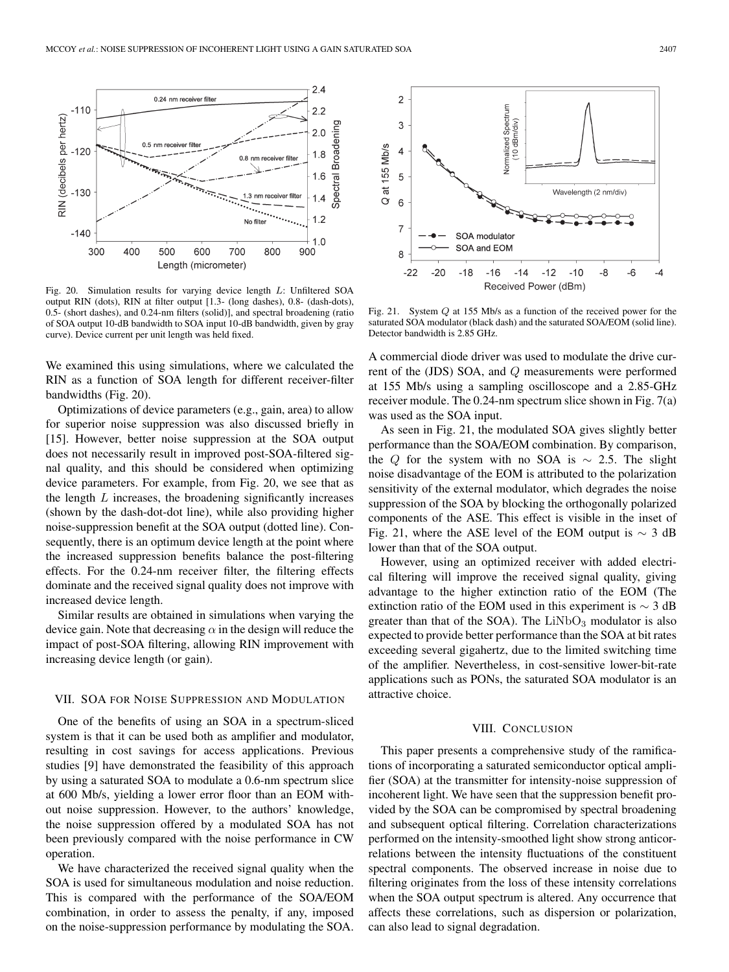

Fig. 20. Simulation results for varying device length L: Unfiltered SOA output RIN (dots), RIN at filter output [1.3- (long dashes), 0.8- (dash-dots), 0.5- (short dashes), and 0.24-nm filters (solid)], and spectral broadening (ratio of SOA output 10-dB bandwidth to SOA input 10-dB bandwidth, given by gray curve). Device current per unit length was held fixed.

We examined this using simulations, where we calculated the RIN as a function of SOA length for different receiver-filter bandwidths (Fig. 20).

Optimizations of device parameters (e.g., gain, area) to allow for superior noise suppression was also discussed briefly in [15]. However, better noise suppression at the SOA output does not necessarily result in improved post-SOA-filtered signal quality, and this should be considered when optimizing device parameters. For example, from Fig. 20, we see that as the length  $L$  increases, the broadening significantly increases (shown by the dash-dot-dot line), while also providing higher noise-suppression benefit at the SOA output (dotted line). Consequently, there is an optimum device length at the point where the increased suppression benefits balance the post-filtering effects. For the 0.24-nm receiver filter, the filtering effects dominate and the received signal quality does not improve with increased device length.

Similar results are obtained in simulations when varying the device gain. Note that decreasing  $\alpha$  in the design will reduce the impact of post-SOA filtering, allowing RIN improvement with increasing device length (or gain).

## VII. SOA FOR NOISE SUPPRESSION AND MODULATION

One of the benefits of using an SOA in a spectrum-sliced system is that it can be used both as amplifier and modulator, resulting in cost savings for access applications. Previous studies [9] have demonstrated the feasibility of this approach by using a saturated SOA to modulate a 0.6-nm spectrum slice at 600 Mb/s, yielding a lower error floor than an EOM without noise suppression. However, to the authors' knowledge, the noise suppression offered by a modulated SOA has not been previously compared with the noise performance in CW operation.

We have characterized the received signal quality when the SOA is used for simultaneous modulation and noise reduction. This is compared with the performance of the SOA/EOM combination, in order to assess the penalty, if any, imposed on the noise-suppression performance by modulating the SOA.



Fig. 21. System Q at 155 Mb/s as a function of the received power for the saturated SOA modulator (black dash) and the saturated SOA/EOM (solid line). Detector bandwidth is 2.85 GHz.

A commercial diode driver was used to modulate the drive current of the (JDS) SOA, and Q measurements were performed at 155 Mb/s using a sampling oscilloscope and a 2.85-GHz receiver module. The 0.24-nm spectrum slice shown in Fig. 7(a) was used as the SOA input.

As seen in Fig. 21, the modulated SOA gives slightly better performance than the SOA/EOM combination. By comparison, the Q for the system with no SOA is  $\sim$  2.5. The slight noise disadvantage of the EOM is attributed to the polarization sensitivity of the external modulator, which degrades the noise suppression of the SOA by blocking the orthogonally polarized components of the ASE. This effect is visible in the inset of Fig. 21, where the ASE level of the EOM output is  $\sim$  3 dB lower than that of the SOA output.

However, using an optimized receiver with added electrical filtering will improve the received signal quality, giving advantage to the higher extinction ratio of the EOM (The extinction ratio of the EOM used in this experiment is  $\sim$  3 dB greater than that of the SOA). The  $LiNbO<sub>3</sub>$  modulator is also expected to provide better performance than the SOA at bit rates exceeding several gigahertz, due to the limited switching time of the amplifier. Nevertheless, in cost-sensitive lower-bit-rate applications such as PONs, the saturated SOA modulator is an attractive choice.

## VIII. CONCLUSION

This paper presents a comprehensive study of the ramifications of incorporating a saturated semiconductor optical amplifier (SOA) at the transmitter for intensity-noise suppression of incoherent light. We have seen that the suppression benefit provided by the SOA can be compromised by spectral broadening and subsequent optical filtering. Correlation characterizations performed on the intensity-smoothed light show strong anticorrelations between the intensity fluctuations of the constituent spectral components. The observed increase in noise due to filtering originates from the loss of these intensity correlations when the SOA output spectrum is altered. Any occurrence that affects these correlations, such as dispersion or polarization, can also lead to signal degradation.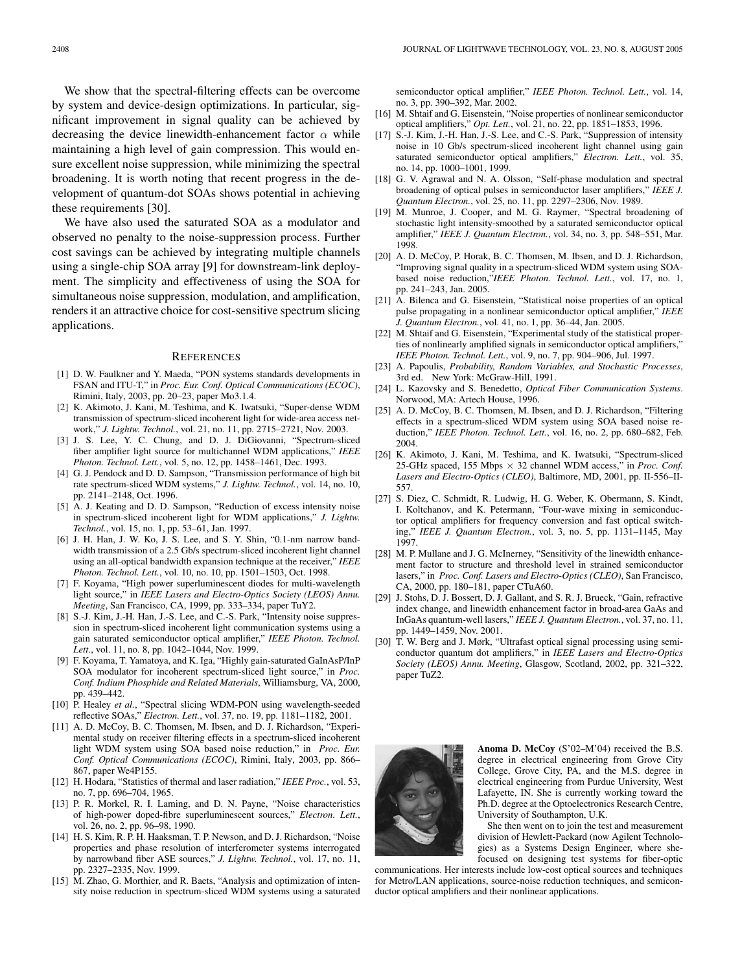We show that the spectral-filtering effects can be overcome by system and device-design optimizations. In particular, significant improvement in signal quality can be achieved by decreasing the device linewidth-enhancement factor  $\alpha$  while maintaining a high level of gain compression. This would ensure excellent noise suppression, while minimizing the spectral broadening. It is worth noting that recent progress in the development of quantum-dot SOAs shows potential in achieving these requirements [30].

We have also used the saturated SOA as a modulator and observed no penalty to the noise-suppression process. Further cost savings can be achieved by integrating multiple channels using a single-chip SOA array [9] for downstream-link deployment. The simplicity and effectiveness of using the SOA for simultaneous noise suppression, modulation, and amplification, renders it an attractive choice for cost-sensitive spectrum slicing applications.

#### **REFERENCES**

- [1] D. W. Faulkner and Y. Maeda, "PON systems standards developments in FSAN and ITU-T," in *Proc. Eur. Conf. Optical Communications (ECOC)*, Rimini, Italy, 2003, pp. 20–23, paper Mo3.1.4.
- [2] K. Akimoto, J. Kani, M. Teshima, and K. Iwatsuki, "Super-dense WDM transmission of spectrum-sliced incoherent light for wide-area access network," *J. Lightw. Technol.*, vol. 21, no. 11, pp. 2715–2721, Nov. 2003.
- [3] J. S. Lee, Y. C. Chung, and D. J. DiGiovanni, "Spectrum-sliced fiber amplifier light source for multichannel WDM applications," *IEEE Photon. Technol. Lett.*, vol. 5, no. 12, pp. 1458–1461, Dec. 1993.
- [4] G. J. Pendock and D. D. Sampson, "Transmission performance of high bit rate spectrum-sliced WDM systems," *J. Lightw. Technol.*, vol. 14, no. 10, pp. 2141–2148, Oct. 1996.
- [5] A. J. Keating and D. D. Sampson, "Reduction of excess intensity noise in spectrum-sliced incoherent light for WDM applications," *J. Lightw. Technol.*, vol. 15, no. 1, pp. 53–61, Jan. 1997.
- [6] J. H. Han, J. W. Ko, J. S. Lee, and S. Y. Shin, "0.1-nm narrow bandwidth transmission of a 2.5 Gb/s spectrum-sliced incoherent light channel using an all-optical bandwidth expansion technique at the receiver," *IEEE Photon. Technol. Lett.*, vol. 10, no. 10, pp. 1501–1503, Oct. 1998.
- [7] F. Koyama, "High power superluminescent diodes for multi-wavelength light source," in *IEEE Lasers and Electro-Optics Society (LEOS) Annu. Meeting*, San Francisco, CA, 1999, pp. 333–334, paper TuY2.
- [8] S.-J. Kim, J.-H. Han, J.-S. Lee, and C.-S. Park, "Intensity noise suppression in spectrum-sliced incoherent light communication systems using a gain saturated semiconductor optical amplifier," *IEEE Photon. Technol. Lett.*, vol. 11, no. 8, pp. 1042–1044, Nov. 1999.
- [9] F. Koyama, T. Yamatoya, and K. Iga, "Highly gain-saturated GaInAsP/InP SOA modulator for incoherent spectrum-sliced light source," in *Proc. Conf. Indium Phosphide and Related Materials*, Williamsburg, VA, 2000, pp. 439–442.
- [10] P. Healey *et al.*, "Spectral slicing WDM-PON using wavelength-seeded reflective SOAs," *Electron. Lett.*, vol. 37, no. 19, pp. 1181–1182, 2001.
- [11] A. D. McCoy, B. C. Thomsen, M. Ibsen, and D. J. Richardson, "Experimental study on receiver filtering effects in a spectrum-sliced incoherent light WDM system using SOA based noise reduction," in *Proc. Eur. Conf. Optical Communications (ECOC)*, Rimini, Italy, 2003, pp. 866– 867, paper We4P155.
- [12] H. Hodara, "Statistics of thermal and laser radiation," *IEEE Proc.*, vol. 53, no. 7, pp. 696–704, 1965.
- [13] P. R. Morkel, R. I. Laming, and D. N. Payne, "Noise characteristics of high-power doped-fibre superluminescent sources," *Electron. Lett.*, vol. 26, no. 2, pp. 96–98, 1990.
- [14] H. S. Kim, R. P. H. Haaksman, T. P. Newson, and D. J. Richardson, "Noise properties and phase resolution of interferometer systems interrogated by narrowband fiber ASE sources," *J. Lightw. Technol.*, vol. 17, no. 11, pp. 2327–2335, Nov. 1999.
- [15] M. Zhao, G. Morthier, and R. Baets, "Analysis and optimization of intensity noise reduction in spectrum-sliced WDM systems using a saturated

semiconductor optical amplifier," *IEEE Photon. Technol. Lett.*, vol. 14, no. 3, pp. 390–392, Mar. 2002.

- [16] M. Shtaif and G. Eisenstein, "Noise properties of nonlinear semiconductor optical amplifiers," *Opt. Lett.*, vol. 21, no. 22, pp. 1851–1853, 1996.
- [17] S.-J. Kim, J.-H. Han, J.-S. Lee, and C.-S. Park, "Suppression of intensity noise in 10 Gb/s spectrum-sliced incoherent light channel using gain saturated semiconductor optical amplifiers," *Electron. Lett.*, vol. 35, no. 14, pp. 1000–1001, 1999.
- [18] G. V. Agrawal and N. A. Olsson, "Self-phase modulation and spectral broadening of optical pulses in semiconductor laser amplifiers," *IEEE J. Quantum Electron.*, vol. 25, no. 11, pp. 2297–2306, Nov. 1989.
- [19] M. Munroe, J. Cooper, and M. G. Raymer, "Spectral broadening of stochastic light intensity-smoothed by a saturated semiconductor optical amplifier," *IEEE J. Quantum Electron.*, vol. 34, no. 3, pp. 548–551, Mar. 1998.
- [20] A. D. McCoy, P. Horak, B. C. Thomsen, M. Ibsen, and D. J. Richardson, "Improving signal quality in a spectrum-sliced WDM system using SOAbased noise reduction,"*IEEE Photon. Technol. Lett.*, vol. 17, no. 1, pp. 241–243, Jan. 2005.
- [21] A. Bilenca and G. Eisenstein, "Statistical noise properties of an optical pulse propagating in a nonlinear semiconductor optical amplifier," *IEEE J. Quantum Electron.*, vol. 41, no. 1, pp. 36–44, Jan. 2005.
- [22] M. Shtaif and G. Eisenstein, "Experimental study of the statistical properties of nonlinearly amplified signals in semiconductor optical amplifiers," *IEEE Photon. Technol. Lett.*, vol. 9, no. 7, pp. 904–906, Jul. 1997.
- [23] A. Papoulis, *Probability, Random Variables, and Stochastic Processes*, 3rd ed. New York: McGraw-Hill, 1991.
- [24] L. Kazovsky and S. Benedetto, *Optical Fiber Communication Systems*. Norwood, MA: Artech House, 1996.
- [25] A. D. McCoy, B. C. Thomsen, M. Ibsen, and D. J. Richardson, "Filtering effects in a spectrum-sliced WDM system using SOA based noise reduction," *IEEE Photon. Technol. Lett.*, vol. 16, no. 2, pp. 680–682, Feb. 2004.
- [26] K. Akimoto, J. Kani, M. Teshima, and K. Iwatsuki, "Spectrum-sliced 25-GHz spaced, 155 Mbps × 32 channel WDM access," in *Proc. Conf. Lasers and Electro-Optics (CLEO)*, Baltimore, MD, 2001, pp. II-556–II-557.
- [27] S. Diez, C. Schmidt, R. Ludwig, H. G. Weber, K. Obermann, S. Kindt, I. Koltchanov, and K. Petermann, "Four-wave mixing in semiconductor optical amplifiers for frequency conversion and fast optical switching," *IEEE J. Quantum Electron.*, vol. 3, no. 5, pp. 1131–1145, May 1997.
- [28] M. P. Mullane and J. G. McInerney, "Sensitivity of the linewidth enhancement factor to structure and threshold level in strained semiconductor lasers," in *Proc. Conf. Lasers and Electro-Optics (CLEO)*, San Francisco, CA, 2000, pp. 180–181, paper CTuA60.
- [29] J. Stohs, D. J. Bossert, D. J. Gallant, and S. R. J. Brueck, "Gain, refractive index change, and linewidth enhancement factor in broad-area GaAs and InGaAs quantum-well lasers," *IEEE J. Quantum Electron.*, vol. 37, no. 11, pp. 1449–1459, Nov. 2001.
- [30] T. W. Berg and J. Mørk, "Ultrafast optical signal processing using semiconductor quantum dot amplifiers," in *IEEE Lasers and Electro-Optics Society (LEOS) Annu. Meeting*, Glasgow, Scotland, 2002, pp. 321–322, paper TuZ2.



**Anoma D. McCoy** (S'02–M'04) received the B.S. degree in electrical engineering from Grove City College, Grove City, PA, and the M.S. degree in electrical engineering from Purdue University, West Lafayette, IN. She is currently working toward the Ph.D. degree at the Optoelectronics Research Centre, University of Southampton, U.K.

She then went on to join the test and measurement division of Hewlett-Packard (now Agilent Technologies) as a Systems Design Engineer, where shefocused on designing test systems for fiber-optic

communications. Her interests include low-cost optical sources and techniques for Metro/LAN applications, source-noise reduction techniques, and semiconductor optical amplifiers and their nonlinear applications.